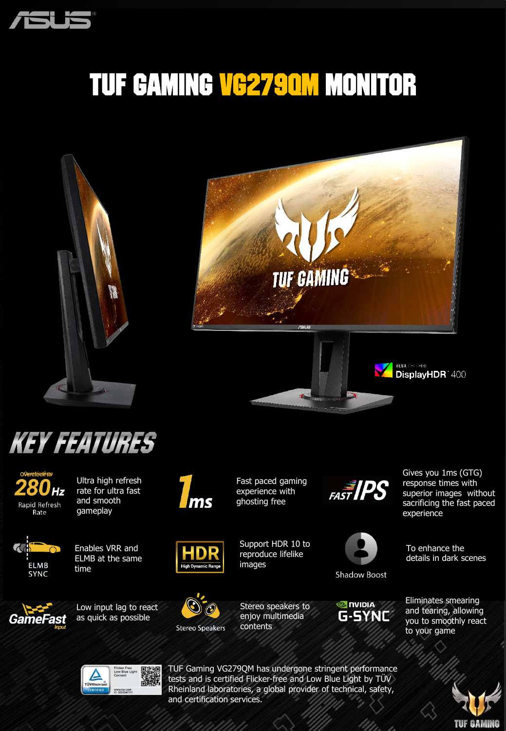

## TUF Gaming VG279Qm Monitor





VESA CERTHED DisplayHDR 400





Ultra high refresh rate for ultra fast and smooth gameplay



Enables VRR and ELMB at the same





time



Low input lag to react as quick as possible



Fast paced gaming experience with ghosting free

Support HDR 10 to HDR reproduce lifelike **High Dyna** images



contents



 $\frac{1}{\sqrt{2}}$  **FAST IPS** 

**Shadow Boost** 

**O NIDIA** G-SYNC Gives you 1ms (GTG) response times with superior images without sacrificing the fast paced experience

To enhance the details in dark scenes

Eliminates smearing and tearing, allowing you to smoothly react to your game





TUF Gaming VG279QM has undergone stringent performance tests and is certified Flicker-free and Low Blue Light by TÜV Rheinland laboratories, a global provider of technical, safety, and certification services.